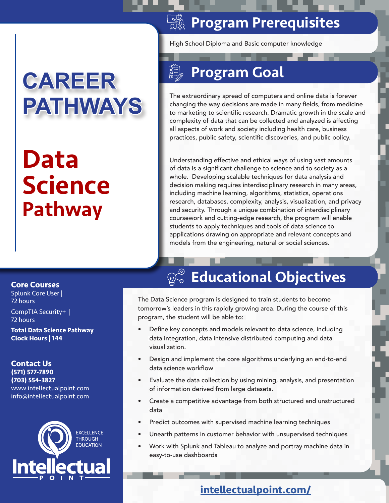# **CAREER PATHWAYS**

# Data Science Pathway

### **SASE Program Prerequisites**

High School Diploma and Basic computer knowledge

## Program Goal

The extraordinary spread of computers and online data is forever changing the way decisions are made in many fields, from medicine to marketing to scientific research. Dramatic growth in the scale and complexity of data that can be collected and analyzed is affecting all aspects of work and society including health care, business practices, public safety, scientific discoveries, and public policy.

Understanding effective and ethical ways of using vast amounts of data is a significant challenge to science and to society as a whole. Developing scalable techniques for data analysis and decision making requires interdisciplinary research in many areas, including machine learning, algorithms, statistics, operations research, databases, complexity, analysis, visualization, and privacy and security. Through a unique combination of interdisciplinary coursework and cutting-edge research, the program will enable students to apply techniques and tools of data science to applications drawing on appropriate and relevant concepts and models from the engineering, natural or social sciences.

#### **Core Courses**

Splunk Core User | 72 hours

CompTIA Security+ | 72 hours

**Total Data Science Pathway Clock Hours | 144**

 $\mathcal{L}_\mathcal{L}$  , where  $\mathcal{L}_\mathcal{L}$  is the set of the set of the set of the set of the set of the set of the set of the set of the set of the set of the set of the set of the set of the set of the set of the set of the

**Contact Us (571) 577-7890 (703) 554-3827** www.intellectualpoint.com info@intellectualpoint.com



 $\mathcal{L}_\mathcal{L}$  , where  $\mathcal{L}_\mathcal{L}$  is the set of the set of the set of the set of the set of the set of the set of the set of the set of the set of the set of the set of the set of the set of the set of the set of the

## $\mathbb{Q}_\infty^\otimes$  Educational Objectives

The Data Science program is designed to train students to become tomorrow's leaders in this rapidly growing area. During the course of this program, the student will be able to:

- Define key concepts and models relevant to data science, including data integration, data intensive distributed computing and data visualization.
- Design and implement the core algorithms underlying an end-to-end data science workflow
- Evaluate the data collection by using mining, analysis, and presentation of information derived from large datasets.
- Create a competitive advantage from both structured and unstructured data
- Predict outcomes with supervised machine learning techniques
- Unearth patterns in customer behavior with unsupervised techniques
- Work with Splunk and Tableau to analyze and portray machine data in easy-to-use dashboards

#### **intellectualpoint.com/**